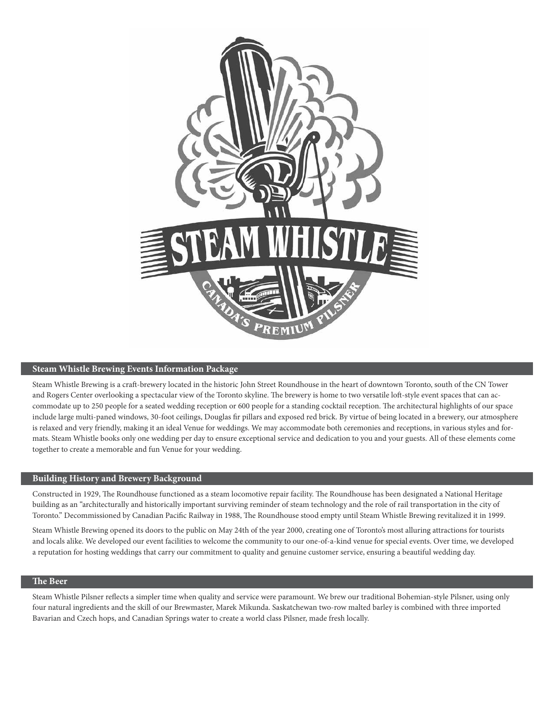

## **Steam Whistle Brewing Events Information Package**

Steam Whistle Brewing is a craft-brewery located in the historic John Street Roundhouse in the heart of downtown Toronto, south of the CN Tower and Rogers Center overlooking a spectacular view of the Toronto skyline. The brewery is home to two versatile loft-style event spaces that can accommodate up to 250 people for a seated wedding reception or 600 people for a standing cocktail reception. The architectural highlights of our space include large multi-paned windows, 30-foot ceilings, Douglas fir pillars and exposed red brick. By virtue of being located in a brewery, our atmosphere is relaxed and very friendly, making it an ideal Venue for weddings. We may accommodate both ceremonies and receptions, in various styles and formats. Steam Whistle books only one wedding per day to ensure exceptional service and dedication to you and your guests. All of these elements come together to create a memorable and fun Venue for your wedding.

## **Building History and Brewery Background**

Constructed in 1929, The Roundhouse functioned as a steam locomotive repair facility. The Roundhouse has been designated a National Heritage building as an "architecturally and historically important surviving reminder of steam technology and the role of rail transportation in the city of Toronto." Decommissioned by Canadian Pacific Railway in 1988, The Roundhouse stood empty until Steam Whistle Brewing revitalized it in 1999.

Steam Whistle Brewing opened its doors to the public on May 24th of the year 2000, creating one of Toronto's most alluring attractions for tourists and locals alike. We developed our event facilities to welcome the community to our one-of-a-kind venue for special events. Over time, we developed a reputation for hosting weddings that carry our commitment to quality and genuine customer service, ensuring a beautiful wedding day.

## **The Beer**

Steam Whistle Pilsner reflects a simpler time when quality and service were paramount. We brew our traditional Bohemian-style Pilsner, using only four natural ingredients and the skill of our Brewmaster, Marek Mikunda. Saskatchewan two-row malted barley is combined with three imported Bavarian and Czech hops, and Canadian Springs water to create a world class Pilsner, made fresh locally.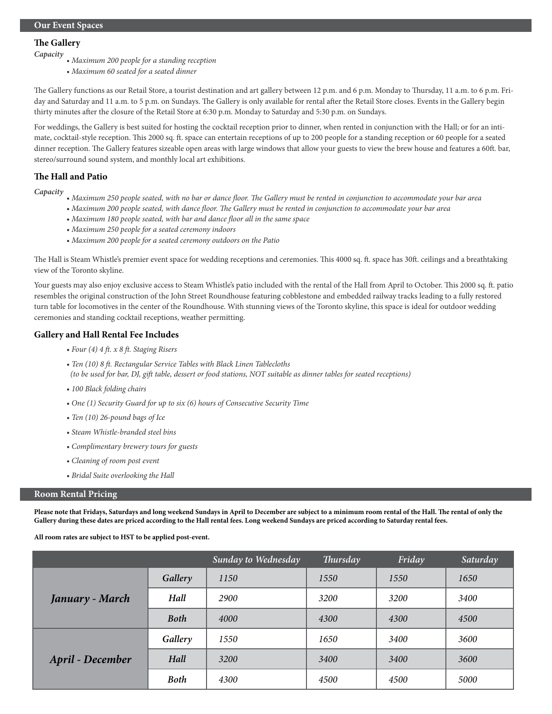# **The Gallery**

- *Capacity Maximum 200 people for a standing reception*
	- *Maximum 60 seated for a seated dinner*

The Gallery functions as our Retail Store, a tourist destination and art gallery between 12 p.m. and 6 p.m. Monday to Thursday, 11 a.m. to 6 p.m. Friday and Saturday and 11 a.m. to 5 p.m. on Sundays. The Gallery is only available for rental after the Retail Store closes. Events in the Gallery begin thirty minutes after the closure of the Retail Store at 6:30 p.m. Monday to Saturday and 5:30 p.m. on Sundays.

For weddings, the Gallery is best suited for hosting the cocktail reception prior to dinner, when rented in conjunction with the Hall; or for an intimate, cocktail-style reception. This 2000 sq. ft. space can entertain receptions of up to 200 people for a standing reception or 60 people for a seated dinner reception. The Gallery features sizeable open areas with large windows that allow your guests to view the brew house and features a 60ft. bar, stereo/surround sound system, and monthly local art exhibitions.

## **The Hall and Patio**

*Capacity • Maximum 250 people seated, with no bar or dance floor. The Gallery must be rented in conjunction to accommodate your bar area*

- *Maximum 200 people seated, with dance floor. The Gallery must be rented in conjunction to accommodate your bar area*
- *Maximum 180 people seated, with bar and dance floor all in the same space*
- *Maximum 250 people for a seated ceremony indoors*
- *Maximum 200 people for a seated ceremony outdoors on the Patio*

The Hall is Steam Whistle's premier event space for wedding receptions and ceremonies. This 4000 sq. ft. space has 30ft. ceilings and a breathtaking view of the Toronto skyline.

Your guests may also enjoy exclusive access to Steam Whistle's patio included with the rental of the Hall from April to October. This 2000 sq. ft. patio resembles the original construction of the John Street Roundhouse featuring cobblestone and embedded railway tracks leading to a fully restored turn table for locomotives in the center of the Roundhouse. With stunning views of the Toronto skyline, this space is ideal for outdoor wedding ceremonies and standing cocktail receptions, weather permitting.

## **Gallery and Hall Rental Fee Includes**

- *Four (4) 4 ft. x 8 ft. Staging Risers*
- *Ten (10) 8 ft. Rectangular Service Tables with Black Linen Tablecloths (to be used for bar, DJ, gift table, dessert or food stations, NOT suitable as dinner tables for seated receptions)*
- *100 Black folding chairs*
- *One (1) Security Guard for up to six (6) hours of Consecutive Security Time*
- *Ten (10) 26-pound bags of Ice*
- *Steam Whistle-branded steel bins*
- *Complimentary brewery tours for guests*
- *Cleaning of room post event*
- *Bridal Suite overlooking the Hall*

#### **Room Rental Pricing**

**Please note that Fridays, Saturdays and long weekend Sundays in April to December are subject to a minimum room rental of the Hall. The rental of only the Gallery during these dates are priced according to the Hall rental fees. Long weekend Sundays are priced according to Saturday rental fees.**

**All room rates are subject to HST to be applied post-event.**

|                         |             | Sunday to Wednesday | Thursday | Friday | Saturday |
|-------------------------|-------------|---------------------|----------|--------|----------|
|                         | Gallery     | 1150                | 1550     | 1550   | 1650     |
| January - March         | Hall        | 2900                | 3200     | 3200   | 3400     |
|                         | <b>Both</b> | 4000                | 4300     | 4300   | 4500     |
|                         | Gallery     | 1550                | 1650     | 3400   | 3600     |
| <b>April - December</b> | Hall        | 3200                | 3400     | 3400   | 3600     |
|                         | <b>Both</b> | 4300                | 4500     | 4500   | 5000     |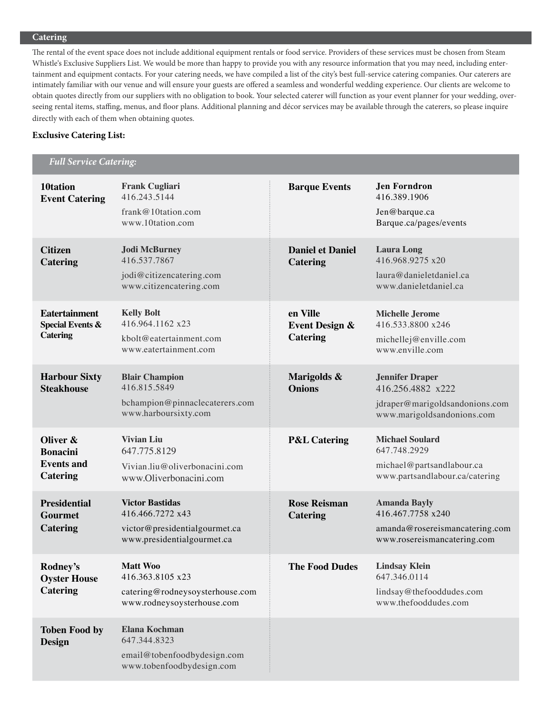## **Catering**

The rental of the event space does not include additional equipment rentals or food service. Providers of these services must be chosen from Steam Whistle's Exclusive Suppliers List. We would be more than happy to provide you with any resource information that you may need, including entertainment and equipment contacts. For your catering needs, we have compiled a list of the city's best full-service catering companies. Our caterers are intimately familiar with our venue and will ensure your guests are offered a seamless and wonderful wedding experience. Our clients are welcome to obtain quotes directly from our suppliers with no obligation to book. Your selected caterer will function as your event planner for your wedding, overseeing rental items, staffing, menus, and floor plans. Additional planning and décor services may be available through the caterers, so please inquire directly with each of them when obtaining quotes.

## **Exclusive Catering List:**

 *Full Service Catering:*

| 10tation<br><b>Event Catering</b>                                      | <b>Frank Cugliari</b><br>416.243.5144<br>frank@10tation.com<br>www.10tation.com                           | <b>Barque Events</b>                                     | <b>Jen Forndron</b><br>416.389.1906<br>Jen@barque.ca<br>Barque.ca/pages/events                              |
|------------------------------------------------------------------------|-----------------------------------------------------------------------------------------------------------|----------------------------------------------------------|-------------------------------------------------------------------------------------------------------------|
| <b>Citizen</b><br><b>Catering</b>                                      | <b>Jodi McBurney</b><br>416.537.7867<br>jodi@citizencatering.com<br>www.citizencatering.com               | <b>Daniel et Daniel</b><br><b>Catering</b>               | <b>Laura Long</b><br>416.968.9275 x20<br>laura@danieletdaniel.ca<br>www.danieletdaniel.ca                   |
| <b>Eatertainment</b><br><b>Special Events &amp;</b><br><b>Catering</b> | <b>Kelly Bolt</b><br>416.964.1162 x23<br>kbolt@eatertainment.com<br>www.eatertainment.com                 | en Ville<br><b>Event Design &amp;</b><br><b>Catering</b> | <b>Michelle Jerome</b><br>416.533.8800 x246<br>michellej@enville.com<br>www.enville.com                     |
| <b>Harbour Sixty</b><br><b>Steakhouse</b>                              | <b>Blair Champion</b><br>416.815.5849<br>bchampion@pinnaclecaterers.com<br>www.harboursixty.com           | Marigolds &<br><b>Onions</b>                             | <b>Jennifer Draper</b><br>416.256.4882 x222<br>jdraper@marigoldsandonions.com<br>www.marigoldsandonions.com |
| Oliver &<br><b>Bonacini</b><br><b>Events and</b><br><b>Catering</b>    | <b>Vivian Liu</b><br>647.775.8129<br>Vivian.liu@oliverbonacini.com<br>www.Oliverbonacini.com              | <b>P&amp;L Catering</b>                                  | <b>Michael Soulard</b><br>647.748.2929<br>michael@partsandlabour.ca<br>www.partsandlabour.ca/catering       |
| <b>Presidential</b><br><b>Gourmet</b><br><b>Catering</b>               | <b>Victor Bastidas</b><br>416.466.7272 x43<br>victor@presidentialgourmet.ca<br>www.presidentialgourmet.ca | <b>Rose Reisman</b><br><b>Catering</b>                   | <b>Amanda Bayly</b><br>416.467.7758 x240<br>amanda@rosereismancatering.com<br>www.rosereismancatering.com   |
| Rodney's<br><b>Oyster House</b><br><b>Catering</b>                     | <b>Matt Woo</b><br>416.363.8105 x23<br>catering@rodneysoysterhouse.com<br>www.rodneysoysterhouse.com      | <b>The Food Dudes</b>                                    | <b>Lindsay Klein</b><br>647.346.0114<br>lindsay@thefooddudes.com<br>www.thefooddudes.com                    |
| <b>Toben Food by</b><br>Design                                         | Elana Kochman<br>647.344.8323<br>email@tobenfoodbydesign.com<br>www.tobenfoodbydesign.com                 |                                                          |                                                                                                             |

 $\ddot{\cdot}$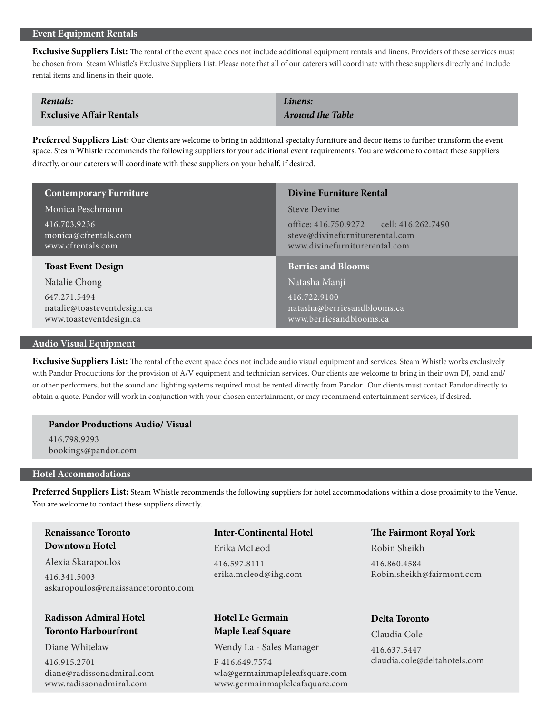## **Event Equipment Rentals**

**Exclusive Suppliers List:** The rental of the event space does not include additional equipment rentals and linens. Providers of these services must be chosen from Steam Whistle's Exclusive Suppliers List. Please note that all of our caterers will coordinate with these suppliers directly and include rental items and linens in their quote.

| Rentals:                        | Linens:                 |
|---------------------------------|-------------------------|
| <b>Exclusive Affair Rentals</b> | <b>Around the Table</b> |

**Preferred Suppliers List:** Our clients are welcome to bring in additional specialty furniture and decor items to further transform the event space. Steam Whistle recommends the following suppliers for your additional event requirements. You are welcome to contact these suppliers directly, or our caterers will coordinate with these suppliers on your behalf, if desired.

| <b>Contemporary Furniture</b>                             | <b>Divine Furniture Rental</b>                                                                              |
|-----------------------------------------------------------|-------------------------------------------------------------------------------------------------------------|
| Monica Peschmann                                          | <b>Steve Devine</b>                                                                                         |
| 416.703.9236<br>monica@cfrentals.com<br>www.cfrentals.com | office: 416.750.9272 cell: 416.262.7490<br>steve@divinefurniturerental.com<br>www.divinefurniturerental.com |
|                                                           |                                                                                                             |
| <b>Toast Event Design</b>                                 | <b>Berries and Blooms</b>                                                                                   |
| Natalie Chong                                             | Natasha Manji                                                                                               |

#### **Audio Visual Equipment**

**Exclusive Suppliers List:** The rental of the event space does not include audio visual equipment and services. Steam Whistle works exclusively with Pandor Productions for the provision of A/V equipment and technician services. Our clients are welcome to bring in their own DJ, band and/ or other performers, but the sound and lighting systems required must be rented directly from Pandor. Our clients must contact Pandor directly to obtain a quote. Pandor will work in conjunction with your chosen entertainment, or may recommend entertainment services, if desired.

## **Pandor Productions Audio/ Visual**

416.798.9293 bookings@pandor.com

## **Hotel Accommodations**

**Preferred Suppliers List:** Steam Whistle recommends the following suppliers for hotel accommodations within a close proximity to the Venue. You are welcome to contact these suppliers directly.

**Renaissance Toronto Downtown Hotel**

Alexia Skarapoulos 416.341.5003 askaropoulos@renaissancetoronto.com

## **Radisson Admiral Hotel Toronto Harbourfront**

Diane Whitelaw

416.915.2701 diane@radissonadmiral.com www.radissonadmiral.com

## **Inter-Continental Hotel**

Erika McLeod 416.597.8111 erika.mcleod@ihg.com

# **Hotel Le Germain Maple Leaf Square**

Wendy La - Sales Manager

F 416.649.7574 wla@germainmapleleafsquare.com www.germainmapleleafsquare.com **The Fairmont Royal York**

Robin Sheikh

416.860.4584 Robin.sheikh@fairmont.com

## **Delta Toronto**

Claudia Cole 416.637.5447 claudia.cole@deltahotels.com